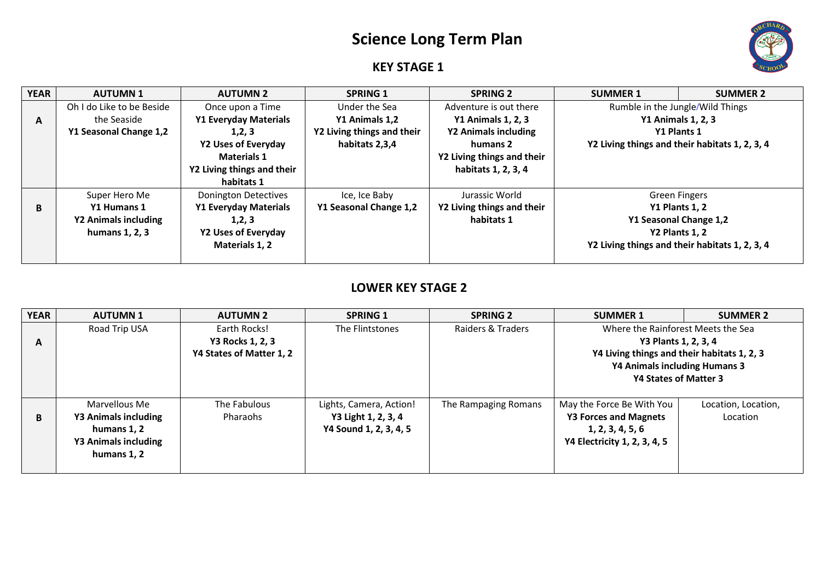## **Science Long Term Plan**



## **KEY STAGE 1**

| <b>YEAR</b> | <b>AUTUMN 1</b>           | <b>AUTUMN 2</b>              | <b>SPRING 1</b>            | <b>SPRING 2</b>            | <b>SUMMER 1</b>                                | <b>SUMMER 2</b>                                |
|-------------|---------------------------|------------------------------|----------------------------|----------------------------|------------------------------------------------|------------------------------------------------|
|             | Oh I do Like to be Beside | Once upon a Time             | Under the Sea              | Adventure is out there     | Rumble in the Jungle/Wild Things               |                                                |
| A           | the Seaside               | <b>Y1 Everyday Materials</b> | Y1 Animals 1,2             | <b>Y1 Animals 1, 2, 3</b>  | <b>Y1 Animals 1, 2, 3</b>                      |                                                |
|             | Y1 Seasonal Change 1,2    | 1,2,3                        | Y2 Living things and their | Y2 Animals including       | Y1 Plants 1                                    |                                                |
|             |                           | <b>Y2 Uses of Everyday</b>   | habitats 2,3,4             | humans 2                   | Y2 Living things and their habitats 1, 2, 3, 4 |                                                |
|             |                           | <b>Materials 1</b>           |                            | Y2 Living things and their |                                                |                                                |
|             |                           | Y2 Living things and their   |                            | habitats 1, 2, 3, 4        |                                                |                                                |
|             |                           | habitats 1                   |                            |                            |                                                |                                                |
|             | Super Hero Me             | Donington Detectives         | Ice, Ice Baby              | Jurassic World             |                                                | <b>Green Fingers</b>                           |
| В           | Y1 Humans 1               | <b>Y1 Everyday Materials</b> | Y1 Seasonal Change 1,2     | Y2 Living things and their |                                                | Y1 Plants 1, 2                                 |
|             | Y2 Animals including      | 1,2,3                        |                            | habitats 1                 |                                                | Y1 Seasonal Change 1,2                         |
|             | humans 1, 2, 3            | <b>Y2 Uses of Everyday</b>   |                            |                            |                                                | Y2 Plants 1, 2                                 |
|             |                           | Materials 1, 2               |                            |                            |                                                | Y2 Living things and their habitats 1, 2, 3, 4 |
|             |                           |                              |                            |                            |                                                |                                                |

## **LOWER KEY STAGE 2**

| <b>YEAR</b> | <b>AUTUMN1</b>              | <b>AUTUMN 2</b>          | <b>SPRING 1</b>         | <b>SPRING 2</b>      | <b>SUMMER 1</b>                             | <b>SUMMER 2</b>     |
|-------------|-----------------------------|--------------------------|-------------------------|----------------------|---------------------------------------------|---------------------|
|             | Road Trip USA               | Earth Rocks!             | The Flintstones         | Raiders & Traders    | Where the Rainforest Meets the Sea          |                     |
| A           |                             | Y3 Rocks 1, 2, 3         |                         |                      | Y3 Plants 1, 2, 3, 4                        |                     |
|             |                             | Y4 States of Matter 1, 2 |                         |                      | Y4 Living things and their habitats 1, 2, 3 |                     |
|             |                             |                          |                         |                      | Y4 Animals including Humans 3               |                     |
|             |                             |                          |                         |                      | Y4 States of Matter 3                       |                     |
|             |                             |                          |                         |                      |                                             |                     |
|             | Marvellous Me               | The Fabulous             | Lights, Camera, Action! | The Rampaging Romans | May the Force Be With You                   | Location, Location, |
| B           | Y3 Animals including        | Pharaohs                 | Y3 Light 1, 2, 3, 4     |                      | <b>Y3 Forces and Magnets</b>                | Location            |
|             | humans 1, 2                 |                          | Y4 Sound 1, 2, 3, 4, 5  |                      | 1, 2, 3, 4, 5, 6                            |                     |
|             | <b>Y3 Animals including</b> |                          |                         |                      | Y4 Electricity 1, 2, 3, 4, 5                |                     |
|             | humans 1.2                  |                          |                         |                      |                                             |                     |
|             |                             |                          |                         |                      |                                             |                     |